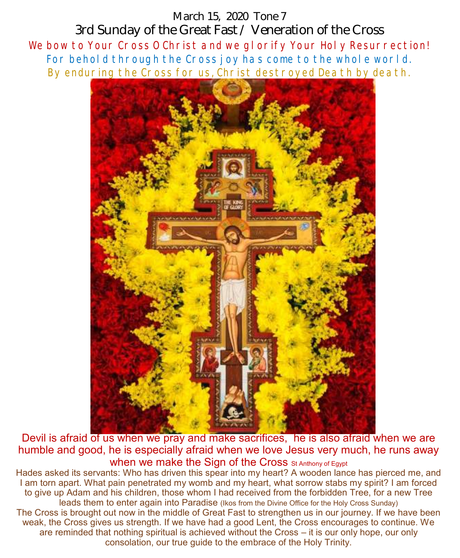March 15, 2020 Tone 7

3rd Sunday of the Great Fast / Veneration of the Cross We bow to Your Cross 0 Christ and we glorify Your Holy Resurrection! For behold through the Cross joy has come to the whole world. By enduring the Cross for us, Christ destroyed Death by death.



Devil is afraid of us when we pray and make sacrifices, he is also afraid when we are humble and good, he is especially afraid when we love Jesus very much, he runs away when we make the Sign of the Cross st Anthony of Egypt

Hades asked its servants: Who has driven this spear into my heart? A wooden lance has pierced me, and I am torn apart. What pain penetrated my womb and my heart, what sorrow stabs my spirit? I am forced to give up Adam and his children, those whom I had received from the forbidden Tree, for a new Tree leads them to enter again into Paradise (Ikos from the Divine Office for the Holy Cross Sunday) The Cross is brought out now in the middle of Great Fast to strengthen us in our journey. If we have been weak, the Cross gives us strength. If we have had a good Lent, the Cross encourages to continue. We are reminded that nothing spiritual is achieved without the Cross – it is our only hope, our only consolation, our true guide to the embrace of the Holy Trinity.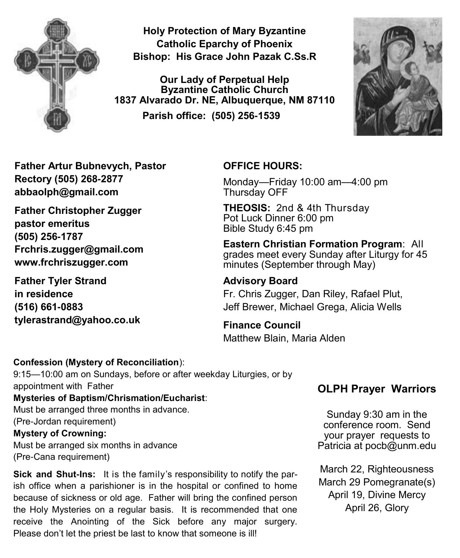

**Holy Protection of Mary Byzantine Catholic Eparchy of Phoenix Bishop: His Grace John Pazak C.Ss.R**

**Our Lady of Perpetual Help Byzantine Catholic Church 1837 Alvarado Dr. NE, Albuquerque, NM 87110 Parish office: (505) 256-1539**



**Father Artur Bubnevych, Pastor Rectory (505) 268-2877 abbaolph@gmail.com** 

**Father Christopher Zugger pastor emeritus (505) 256-1787 Frchris.zugger@gmail.com www.frchriszugger.com** 

**Father Tyler Strand in residence (516) 661-0883 tylerastrand@yahoo.co.uk**

### **OFFICE HOURS:**

Monday—Friday 10:00 am—4:00 pm Thursday OFF

**THEOSIS:** 2nd & 4th Thursday Pot Luck Dinner 6:00 pm Bible Study 6:45 pm

**Eastern Christian Formation Program**: All grades meet every Sunday after Liturgy for 45 minutes (September through May)

**Advisory Board**  Fr. Chris Zugger, Dan Riley, Rafael Plut, Jeff Brewer, Michael Grega, Alicia Wells

**Finance Council**  Matthew Blain, Maria Alden

### **Confession (Mystery of Reconciliation**):

9:15—10:00 am on Sundays, before or after weekday Liturgies, or by appointment with Father **Mysteries of Baptism/Chrismation/Eucharist**: Must be arranged three months in advance. (Pre-Jordan requirement) **Mystery of Crowning:**  Must be arranged six months in advance (Pre-Cana requirement)

**Sick and Shut-Ins:** It is the family's responsibility to notify the parish office when a parishioner is in the hospital or confined to home because of sickness or old age. Father will bring the confined person the Holy Mysteries on a regular basis. It is recommended that one receive the Anointing of the Sick before any major surgery. Please don't let the priest be last to know that someone is ill!

### **OLPH Prayer Warriors**

Sunday 9:30 am in the conference room. Send your prayer requests to Patricia at pocb@unm.edu

March 22, Righteousness March 29 Pomegranate(s) April 19, Divine Mercy April 26, Glory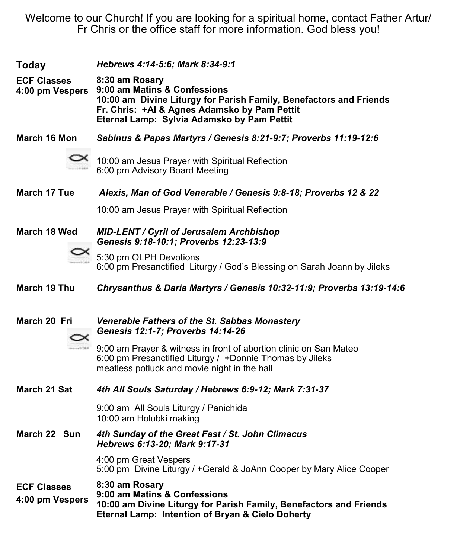Welcome to our Church! If you are looking for a spiritual home, contact Father Artur/ Fr Chris or the office staff for more information. God bless you!

| <b>Today</b>                          | Hebrews 4:14-5:6; Mark 8:34-9:1                                                                                                                                                                                    |
|---------------------------------------|--------------------------------------------------------------------------------------------------------------------------------------------------------------------------------------------------------------------|
| <b>ECF Classes</b><br>4:00 pm Vespers | 8:30 am Rosary<br>9:00 am Matins & Confessions<br>10:00 am Divine Liturgy for Parish Family, Benefactors and Friends<br>Fr. Chris: +AI & Agnes Adamsko by Pam Pettit<br>Eternal Lamp: Sylvia Adamsko by Pam Pettit |
| March 16 Mon                          | Sabinus & Papas Martyrs / Genesis 8:21-9:7; Proverbs 11:19-12:6                                                                                                                                                    |
|                                       | 10:00 am Jesus Prayer with Spiritual Reflection<br>6:00 pm Advisory Board Meeting                                                                                                                                  |
| March 17 Tue                          | Alexis, Man of God Venerable / Genesis 9:8-18; Proverbs 12 & 22                                                                                                                                                    |
|                                       | 10:00 am Jesus Prayer with Spiritual Reflection                                                                                                                                                                    |
| March 18 Wed                          | <b>MID-LENT / Cyril of Jerusalem Archbishop</b><br>Genesis 9:18-10:1; Proverbs 12:23-13:9                                                                                                                          |
|                                       | 5:30 pm OLPH Devotions<br>6:00 pm Presanctified Liturgy / God's Blessing on Sarah Joann by Jileks                                                                                                                  |
| March 19 Thu                          | Chrysanthus & Daria Martyrs / Genesis 10:32-11:9; Proverbs 13:19-14:6                                                                                                                                              |
| March 20 Fri                          | Venerable Fathers of the St. Sabbas Monastery<br>Genesis 12:1-7; Proverbs 14:14-26                                                                                                                                 |
|                                       | 9:00 am Prayer & witness in front of abortion clinic on San Mateo<br>6:00 pm Presanctified Liturgy / +Donnie Thomas by Jileks<br>meatless potluck and movie night in the hall                                      |
| March 21 Sat                          | 4th All Souls Saturday / Hebrews 6:9-12; Mark 7:31-37                                                                                                                                                              |
|                                       | 9:00 am All Souls Liturgy / Panichida<br>10:00 am Holubki making                                                                                                                                                   |
| March 22 Sun                          | 4th Sunday of the Great Fast / St. John Climacus<br>Hebrews 6:13-20; Mark 9:17-31                                                                                                                                  |
|                                       | 4:00 pm Great Vespers<br>5:00 pm Divine Liturgy / +Gerald & JoAnn Cooper by Mary Alice Cooper                                                                                                                      |
| <b>ECF Classes</b><br>4:00 pm Vespers | 8:30 am Rosary<br>9:00 am Matins & Confessions<br>10:00 am Divine Liturgy for Parish Family, Benefactors and Friends<br>Eternal Lamp: Intention of Bryan & Cielo Doherty                                           |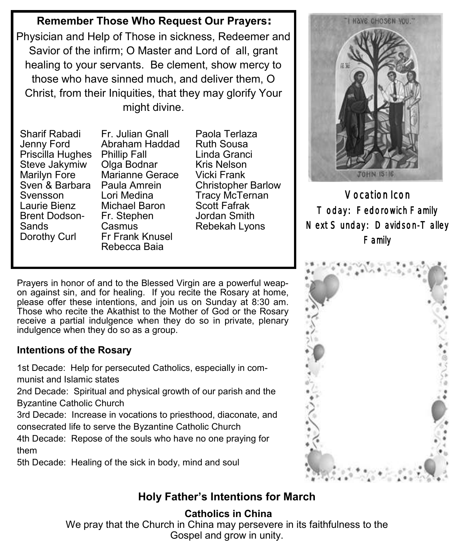## **Remember Those Who Request Our Prayers:**

Physician and Help of Those in sickness, Redeemer and Savior of the infirm; O Master and Lord of all, grant healing to your servants. Be clement, show mercy to those who have sinned much, and deliver them, O Christ, from their Iniquities, that they may glorify Your might divine.

Sharif Rabadi Jenny Ford Priscilla Hughes Phillip Fall Steve Jakymiw Marilyn Fore Sven & Barbara Paula Amrein Svensson Laurie Bienz Brent Dodson-Sands Dorothy Curl

Fr. Julian Gnall Abraham Haddad Olga Bodnar Marianne Gerace Lori Medina Michael Baron Fr. Stephen Casmus Fr Frank Knusel Rebecca Baia

Paola Terlaza Ruth Sousa Linda Granci Kris Nelson Vicki Frank Christopher Barlow Tracy McTernan Scott Fafrak Jordan Smith Rebekah Lyons

Prayers in honor of and to the Blessed Virgin are a powerful weapon against sin, and for healing. If you recite the Rosary at home, please offer these intentions, and join us on Sunday at 8:30 am. Those who recite the Akathist to the Mother of God or the Rosary receive a partial indulgence when they do so in private, plenary indulgence when they do so as a group.

### **Intentions of the Rosary**

1st Decade: Help for persecuted Catholics, especially in communist and Islamic states

2nd Decade: Spiritual and physical growth of our parish and the Byzantine Catholic Church

3rd Decade: Increase in vocations to priesthood, diaconate, and consecrated life to serve the Byzantine Catholic Church

4th Decade: Repose of the souls who have no one praying for them

5th Decade: Healing of the sick in body, mind and soul



Vocation Icon Today: Fedorowich Family Next Sunday: Davidson-Talley Family



# **Holy Father's Intentions for March**

## **Catholics in China**

We pray that the Church in China may persevere in its faithfulness to the Gospel and grow in unity.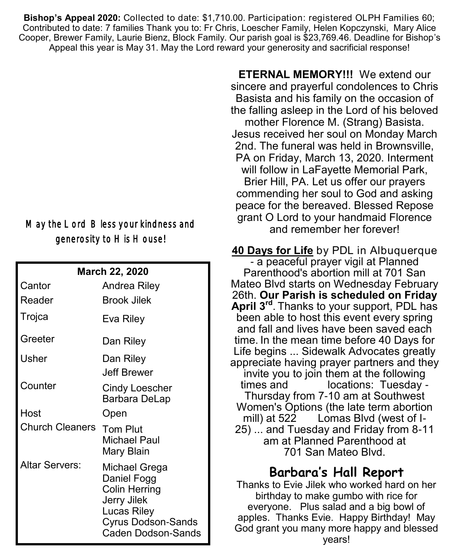**Bishop's Appeal 2020:** Collected to date: \$1,710.00. Participation: registered OLPH Families 60; Contributed to date: 7 families Thank you to: Fr Chris, Loescher Family, Helen Kopczynski, Mary Alice Cooper, Brewer Family, Laurie Bienz, Block Family. Our parish goal is \$23,769.46. Deadline for Bishop's Appeal this year is May 31. May the Lord reward your generosity and sacrificial response!

# May the Lord Bless your kindness and generosity to His House!

| <b>March 22, 2020</b>  |                                                                                                                                |  |  |
|------------------------|--------------------------------------------------------------------------------------------------------------------------------|--|--|
| Cantor                 | Andrea Riley                                                                                                                   |  |  |
| Reader                 | Brook Jilek                                                                                                                    |  |  |
| Trojca                 | Eva Riley                                                                                                                      |  |  |
| Greeter                | Dan Riley                                                                                                                      |  |  |
| Usher                  | Dan Riley<br>Jeff Brewer                                                                                                       |  |  |
| Counter                | <b>Cindy Loescher</b><br>Barbara DeLap                                                                                         |  |  |
| Host                   | Open                                                                                                                           |  |  |
| <b>Church Cleaners</b> | <b>Tom Plut</b><br>Michael Paul<br>Mary Blain                                                                                  |  |  |
| Altar Servers:         | Michael Grega<br>Daniel Fogg<br>Colin Herring<br>Jerry Jilek<br>Lucas Riley<br>Cyrus Dodson-Sands<br><b>Caden Dodson-Sands</b> |  |  |

**ETERNAL MEMORY!!!** We extend our sincere and prayerful condolences to Chris Basista and his family on the occasion of the falling asleep in the Lord of his beloved mother Florence M. (Strang) Basista. Jesus received her soul on Monday March 2nd. The funeral was held in Brownsville, PA on Friday, March 13, 2020. Interment will follow in LaFayette Memorial Park, Brier Hill, PA. Let us offer our prayers commending her soul to God and asking peace for the bereaved. Blessed Repose grant O Lord to your handmaid Florence and remember her forever!

**[40 Days for Life](https://40daysforlife.com/)** by PDL in Albuquerque - a peaceful prayer vigil at Planned Parenthood's abortion mill at 701 San Mateo Blvd starts on Wednesday February 26th. **Our Parish is scheduled on Friday April 3rd** . Thanks to your support, PDL has been able to host this event every spring and fall and lives have been saved each time. In the mean time before 40 Days for Life begins ... Sidewalk Advocates greatly appreciate having prayer partners and they invite you to join them at the following times and locations: Tuesday - Thursday from 7-10 am at Southwest Women's Options (the late term abortion mill) at 522 Lomas Blvd (west of I-25) ... and Tuesday and Friday from 8-11 am at Planned Parenthood at 701 San Mateo Blvd.

# **Barbara's Hall Report**

Thanks to Evie Jilek who worked hard on her birthday to make gumbo with rice for everyone. Plus salad and a big bowl of apples. Thanks Evie. Happy Birthday! May God grant you many more happy and blessed years!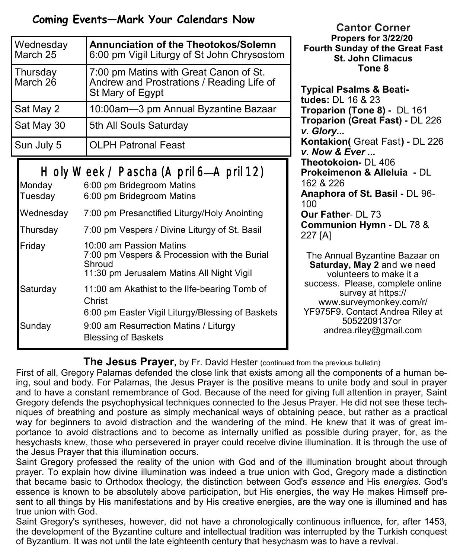## **Coming Events—Mark Your Calendars Now**

| Wednesday<br>March 25 | <b>Annunciation of the Theotokos/Solemn</b><br>6:00 pm Vigil Liturgy of St John Chrysostom              |
|-----------------------|---------------------------------------------------------------------------------------------------------|
| Thursday<br>March 26  | 7:00 pm Matins with Great Canon of St.<br>Andrew and Prostrations / Reading Life of<br>St Mary of Egypt |
| Sat May 2             | 10:00am-3 pm Annual Byzantine Bazaar                                                                    |
| Sat May 30            | 5th All Souls Saturday                                                                                  |
| Sun July 5            | <b>OLPH Patronal Feast</b>                                                                              |
|                       |                                                                                                         |

# Holy Week / Pascha (A pril 6—A pril 12)

| Monday<br>Tuesday | 6:00 pm Bridegroom Matins<br>6:00 pm Bridegroom Matins                                                                         |
|-------------------|--------------------------------------------------------------------------------------------------------------------------------|
| Wednesday         | 7:00 pm Presanctified Liturgy/Holy Anointing                                                                                   |
| Thursday          | 7:00 pm Vespers / Divine Liturgy of St. Basil                                                                                  |
| Friday            | 10:00 am Passion Matins<br>7:00 pm Vespers & Procession with the Burial<br>Shroud<br>11:30 pm Jerusalem Matins All Night Vigil |
| Saturday          | 11:00 am Akathist to the Ilfe-bearing Tomb of<br>Christ<br>6:00 pm Easter Vigil Liturgy/Blessing of Baskets                    |
| Sunday            | 9:00 am Resurrection Matins / Liturgy<br><b>Blessing of Baskets</b>                                                            |

**Cantor Corner Propers for 3/22/20 Fourth Sunday of the Great Fast St. John Climacus Tone 8**

**Typical Psalms & Beatitudes:** DL 16 & 23 **Troparion (Tone 8) -** DL 161 **Troparion (Great Fast) -** DL 226 *v. Glory...*  **Kontakion(** Great Fast**) -** DL 226 *v. Now & Ever ...* **Theotokoion-** DL 406 **Prokeimenon & Alleluia -** DL 162 & 226 **Anaphora of St. Basil -** DL 96- 100 **Our Father**- DL 73 **Communion Hymn -** DL 78 & 227 [A]

The Annual Byzantine Bazaar on **Saturday, May 2** and we need volunteers to make it a success. Please, complete online survey at [https://](https://www.surveymonkey.com/r/YF975F9) [www.surveymonkey.com/r/](https://www.surveymonkey.com/r/YF975F9) [YF975F9.](https://www.surveymonkey.com/r/YF975F9) Contact Andrea Riley at 5052209137or [andrea.riley@gmail.com](mailto:andrea.riley@gmail.com) 

**The Jesus Prayer,** by Fr. David Hester (continued from the previous bulletin)

First of all, Gregory Palamas defended the close link that exists among all the components of a human being, soul and body. For Palamas, the Jesus Prayer is the positive means to unite body and soul in prayer and to have a constant remembrance of God. Because of the need for giving full attention in prayer, Saint Gregory defends the psychophysical techniques connected to the Jesus Prayer. He did not see these techniques of breathing and posture as simply mechanical ways of obtaining peace, but rather as a practical way for beginners to avoid distraction and the wandering of the mind. He knew that it was of great importance to avoid distractions and to become as internally unified as possible during prayer, for, as the hesychasts knew, those who persevered in prayer could receive divine illumination. It is through the use of the Jesus Prayer that this illumination occurs.

Saint Gregory professed the reality of the union with God and of the illumination brought about through prayer. To explain how divine illumination was indeed a true union with God, Gregory made a distinction that became basic to Orthodox theology, the distinction between God's *essence* and His *energies.* God's essence is known to be absolutely above participation, but His energies, the way He makes Himself present to all things by His manifestations and by His creative energies, are the way one is illumined and has true union with God.

Saint Gregory's syntheses, however, did not have a chronologically continuous influence, for, after 1453, the development of the Byzantine culture and intellectual tradition was interrupted by the Turkish conquest of Byzantium. It was not until the late eighteenth century that hesychasm was to have a revival.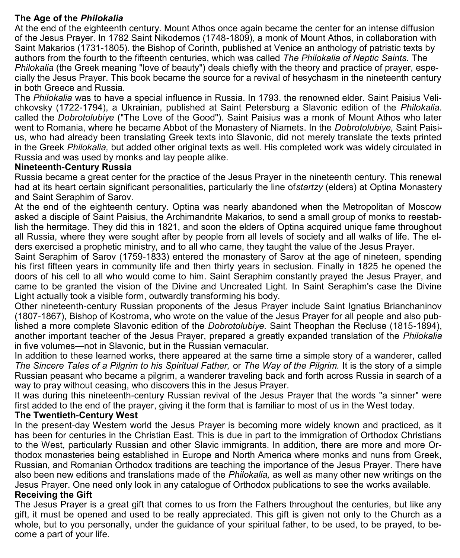### **The Age of the** *Philokalia*

At the end of the eighteenth century. Mount Athos once again became the center for an intense diffusion of the Jesus Prayer. In 1782 Saint Nikodemos (1748-1809), a monk of Mount Athos, in collaboration with Saint Makarios (1731-1805). the Bishop of Corinth, published at Venice an anthology of patristic texts by authors from the fourth to the fifteenth centuries, which was called *The Philokalia of Neptic Saints.* The *Philokalia* (the Greek meaning "love of beauty") deals chiefly with the theory and practice of prayer, especially the Jesus Prayer. This book became the source for a revival of hesychasm in the nineteenth century in both Greece and Russia.

The *Philokalia* was to have a special influence in Russia. In 1793. the renowned elder. Saint Paisius Velichkovsky (1722-1794), a Ukrainian, published at Saint Petersburg a Slavonic edition of the *Philokalia.*  called the *Dobrotolubiye* ("The Love of the Good"). Saint Paisius was a monk of Mount Athos who later went to Romania, where he became Abbot of the Monastery of Niamets. In the *Dobrotolubiye,* Saint Paisius, who had already been translating Greek texts into Slavonic, did not merely translate the texts printed in the Greek *Philokalia,* but added other original texts as well. His completed work was widely circulated in Russia and was used by monks and lay people alike.

### **Nineteenth-Century Russia**

Russia became a great center for the practice of the Jesus Prayer in the nineteenth century. This renewal had at its heart certain significant personalities, particularly the line of*startzy* (elders) at Optina Monastery and Saint Seraphim of Sarov.

At the end of the eighteenth century. Optina was nearly abandoned when the Metropolitan of Moscow asked a disciple of Saint Paisius, the Archimandrite Makarios, to send a small group of monks to reestablish the hermitage. They did this in 1821, and soon the elders of Optina acquired unique fame throughout all Russia, where they were sought after by people from all levels of society and all walks of life. The elders exercised a prophetic ministry, and to all who came, they taught the value of the Jesus Prayer.

Saint Seraphim of Sarov (1759-1833) entered the monastery of Sarov at the age of nineteen, spending his first fifteen years in community life and then thirty years in seclusion. Finally in 1825 he opened the doors of his cell to all who would come to him. Saint Seraphim constantly prayed the Jesus Prayer, and came to be granted the vision of the Divine and Uncreated Light. In Saint Seraphim's case the Divine Light actually took a visible form, outwardly transforming his body.

Other nineteenth-century Russian proponents of the Jesus Prayer include Saint Ignatius Brianchaninov (1807-1867), Bishop of Kostroma, who wrote on the value of the Jesus Prayer for all people and also published a more complete Slavonic edition of the *Dobrotolubiye.* Saint Theophan the Recluse (1815-1894), another important teacher of the Jesus Prayer, prepared a greatly expanded translation of the *Philokalia*  in five volumes—not in Slavonic, but in the Russian vernacular.

In addition to these learned works, there appeared at the same time a simple story of a wanderer, called *The Sincere Tales of a Pilgrim to his Spiritual Father,* or *The Way of the Pilgrim.* It is the story of a simple Russian peasant who became a pilgrim, a wanderer traveling back and forth across Russia in search of a way to pray without ceasing, who discovers this in the Jesus Prayer.

It was during this nineteenth-century Russian revival of the Jesus Prayer that the words "a sinner" were first added to the end of the prayer, giving it the form that is familiar to most of us in the West today.

### **The Twentieth-Century West**

In the present-day Western world the Jesus Prayer is becoming more widely known and practiced, as it has been for centuries in the Christian East. This is due in part to the immigration of Orthodox Christians to the West, particularly Russian and other Slavic immigrants. In addition, there are more and more Orthodox monasteries being established in Europe and North America where monks and nuns from Greek, Russian, and Romanian Orthodox traditions are teaching the importance of the Jesus Prayer. There have also been new editions and translations made of the *Philokalia,* as well as many other new writings on the Jesus Prayer. One need only look in any catalogue of Orthodox publications to see the works available.

### **Receiving the Gift**

The Jesus Prayer is a great gift that comes to us from the Fathers throughout the centuries, but like any gift, it must be opened and used to be really appreciated. This gift is given not only to the Church as a whole, but to you personally, under the guidance of your spiritual father, to be used, to be prayed, to become a part of your life.